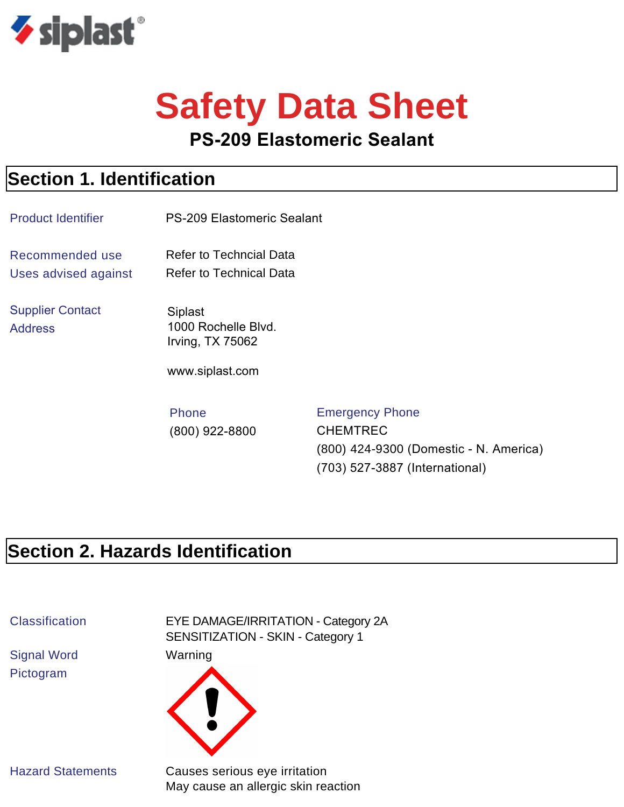

# **Safety Data Sheet**

#### **PS-209 Elastomeric Sealant**

#### **Section 1. Identification**

| <b>Product Identifier</b>                 | <b>PS-209 Elastomeric Sealant</b>                                            |                                                                                     |
|-------------------------------------------|------------------------------------------------------------------------------|-------------------------------------------------------------------------------------|
| Recommended use<br>Uses advised against   | <b>Refer to Techncial Data</b><br><b>Refer to Technical Data</b>             |                                                                                     |
| <b>Supplier Contact</b><br><b>Address</b> | <b>Siplast</b><br>1000 Rochelle Blvd.<br>Irving, TX 75062<br>www.siplast.com |                                                                                     |
|                                           | <b>Phone</b><br>(800) 922-8800                                               | <b>Emergency Phone</b><br><b>CHEMTREC</b><br>(800) 424-9300 (Domestic - N. America) |

(703) 527-3887 (International)

#### **Section 2. Hazards Identification**

Signal Word Warning Pictogram

Classification EYE DAMAGE/IRRITATION - Category 2A SENSITIZATION - SKIN - Category 1



Hazard Statements Causes serious eye irritation May cause an allergic skin reaction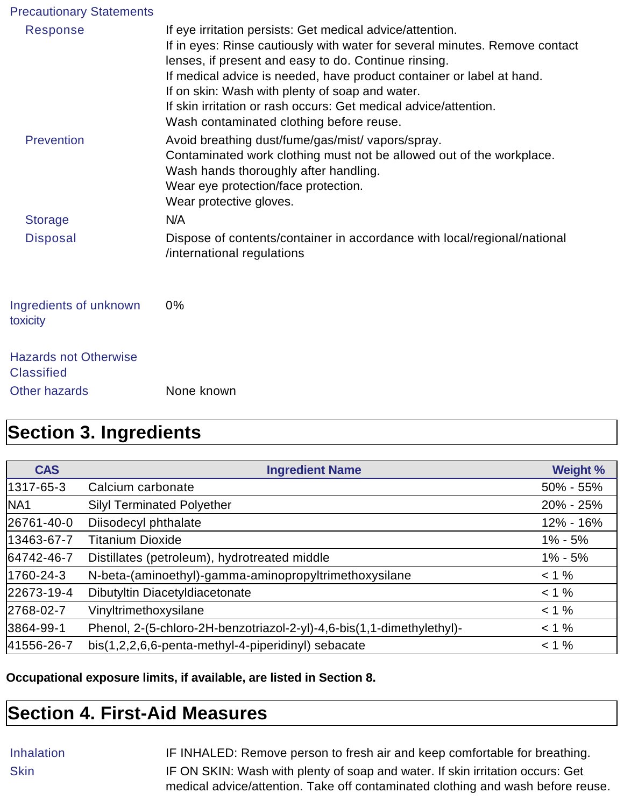| <b>Precautionary Statements</b>                   |                                                                                                                                                                                                                                                                                                                                                                                                                                              |
|---------------------------------------------------|----------------------------------------------------------------------------------------------------------------------------------------------------------------------------------------------------------------------------------------------------------------------------------------------------------------------------------------------------------------------------------------------------------------------------------------------|
| Response                                          | If eye irritation persists: Get medical advice/attention.<br>If in eyes: Rinse cautiously with water for several minutes. Remove contact<br>lenses, if present and easy to do. Continue rinsing.<br>If medical advice is needed, have product container or label at hand.<br>If on skin: Wash with plenty of soap and water.<br>If skin irritation or rash occurs: Get medical advice/attention.<br>Wash contaminated clothing before reuse. |
| <b>Prevention</b>                                 | Avoid breathing dust/fume/gas/mist/ vapors/spray.<br>Contaminated work clothing must not be allowed out of the workplace.<br>Wash hands thoroughly after handling.<br>Wear eye protection/face protection.<br>Wear protective gloves.                                                                                                                                                                                                        |
| <b>Storage</b>                                    | N/A                                                                                                                                                                                                                                                                                                                                                                                                                                          |
| <b>Disposal</b>                                   | Dispose of contents/container in accordance with local/regional/national<br>/international regulations                                                                                                                                                                                                                                                                                                                                       |
| Ingredients of unknown<br>toxicity                | 0%                                                                                                                                                                                                                                                                                                                                                                                                                                           |
| <b>Hazards not Otherwise</b><br><b>Classified</b> |                                                                                                                                                                                                                                                                                                                                                                                                                                              |
| <b>Other hazards</b>                              | None known                                                                                                                                                                                                                                                                                                                                                                                                                                   |

#### **Section 3. Ingredients**

| <b>CAS</b>      | <b>Ingredient Name</b>                                                | <b>Weight %</b> |
|-----------------|-----------------------------------------------------------------------|-----------------|
| 1317-65-3       | Calcium carbonate                                                     | $50\% - 55\%$   |
| NA <sub>1</sub> | <b>Silyl Terminated Polyether</b>                                     | 20% - 25%       |
| 26761-40-0      | Diisodecyl phthalate                                                  | 12% - 16%       |
| 13463-67-7      | <b>Titanium Dioxide</b>                                               | $1\% - 5\%$     |
| 64742-46-7      | Distillates (petroleum), hydrotreated middle                          | $1\% - 5\%$     |
| 1760-24-3       | N-beta-(aminoethyl)-gamma-aminopropyltrimethoxysilane                 | $< 1 \%$        |
| 22673-19-4      | Dibutyltin Diacetyldiacetonate                                        | $< 1 \%$        |
| 2768-02-7       | Vinyltrimethoxysilane                                                 | $< 1 \%$        |
| 3864-99-1       | Phenol, 2-(5-chloro-2H-benzotriazol-2-yl)-4,6-bis(1,1-dimethylethyl)- | $< 1 \%$        |
| 41556-26-7      | bis(1,2,2,6,6-penta-methyl-4-piperidinyl) sebacate                    | $< 1 \%$        |

**Occupational exposure limits, if available, are listed in Section 8.**

#### **Section 4. First-Aid Measures**

Inhalation IF INHALED: Remove person to fresh air and keep comfortable for breathing. Skin **IF ON SKIN: Wash with plenty of soap and water. If skin irritation occurs: Get** medical advice/attention. Take off contaminated clothing and wash before reuse.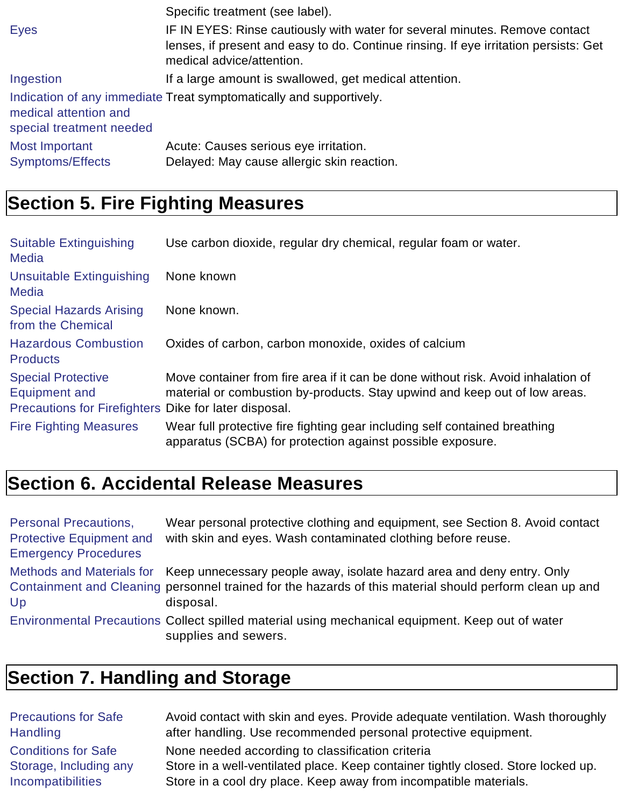|                                                   | Specific treatment (see label).                                                                                                                                                                  |
|---------------------------------------------------|--------------------------------------------------------------------------------------------------------------------------------------------------------------------------------------------------|
| <b>Eyes</b>                                       | IF IN EYES: Rinse cautiously with water for several minutes. Remove contact<br>lenses, if present and easy to do. Continue rinsing. If eye irritation persists: Get<br>medical advice/attention. |
| Ingestion                                         | If a large amount is swallowed, get medical attention.                                                                                                                                           |
| medical attention and<br>special treatment needed | Indication of any immediate Treat symptomatically and supportively.                                                                                                                              |
| <b>Most Important</b><br>Symptoms/Effects         | Acute: Causes serious eye irritation.<br>Delayed: May cause allergic skin reaction.                                                                                                              |

## **Section 5. Fire Fighting Measures**

| <b>Suitable Extinguishing</b><br><b>Media</b>                                                              | Use carbon dioxide, regular dry chemical, regular foam or water.                                                                                                |
|------------------------------------------------------------------------------------------------------------|-----------------------------------------------------------------------------------------------------------------------------------------------------------------|
| <b>Unsuitable Extinguishing</b><br><b>Media</b>                                                            | None known                                                                                                                                                      |
| <b>Special Hazards Arising</b><br>from the Chemical                                                        | None known.                                                                                                                                                     |
| <b>Hazardous Combustion</b><br><b>Products</b>                                                             | Oxides of carbon, carbon monoxide, oxides of calcium                                                                                                            |
| <b>Special Protective</b><br><b>Equipment and</b><br>Precautions for Firefighters Dike for later disposal. | Move container from fire area if it can be done without risk. Avoid inhalation of<br>material or combustion by-products. Stay upwind and keep out of low areas. |
| <b>Fire Fighting Measures</b>                                                                              | Wear full protective fire fighting gear including self contained breathing<br>apparatus (SCBA) for protection against possible exposure.                        |

# **Section 6. Accidental Release Measures**

| <b>Personal Precautions,</b><br><b>Protective Equipment and</b><br><b>Emergency Procedures</b> | Wear personal protective clothing and equipment, see Section 8. Avoid contact<br>with skin and eyes. Wash contaminated clothing before reuse.                                                                            |
|------------------------------------------------------------------------------------------------|--------------------------------------------------------------------------------------------------------------------------------------------------------------------------------------------------------------------------|
| Up                                                                                             | Methods and Materials for Keep unnecessary people away, isolate hazard area and deny entry. Only<br>Containment and Cleaning personnel trained for the hazards of this material should perform clean up and<br>disposal. |
|                                                                                                | Environmental Precautions Collect spilled material using mechanical equipment. Keep out of water<br>supplies and sewers.                                                                                                 |

# **Section 7. Handling and Storage**

| <b>Precautions for Safe</b> | Avoid contact with skin and eyes. Provide adequate ventilation. Wash thoroughly   |
|-----------------------------|-----------------------------------------------------------------------------------|
| <b>Handling</b>             | after handling. Use recommended personal protective equipment.                    |
| <b>Conditions for Safe</b>  | None needed according to classification criteria                                  |
| Storage, Including any      | Store in a well-ventilated place. Keep container tightly closed. Store locked up. |
| <b>Incompatibilities</b>    | Store in a cool dry place. Keep away from incompatible materials.                 |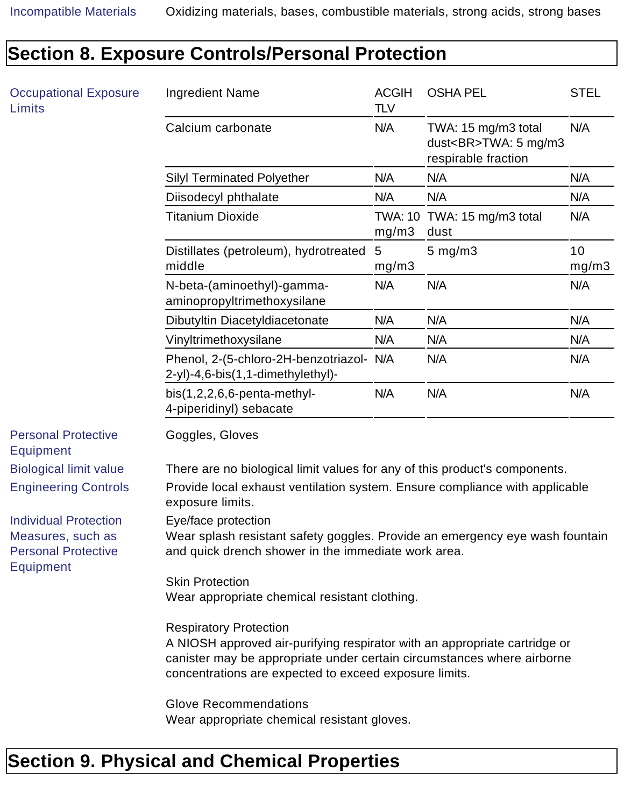#### Occupational Exposure Limits Ingredient Name ACGIH TI V OSHA PEL
STEL Calcium carbonate **N/A** TWA: 15 mg/m3 total dust<BR>TWA: 5 mg/m3 respirable fraction N/A Silyl Terminated Polyether **N/A** N/A N/A N/A Diisodecyl phthalate N/A N/A N/A N/A N/A **Titanium Dioxide** mg/m3 TWA: 15 mg/m3 total dust N/A Distillates (petroleum), hydrotreated 5 middle mg/m3 5 mg/m3 10 mg/m3 N-beta-(aminoethyl)-gammaaminopropyltrimethoxysilane N/A N/A N/A Dibutyltin Diacetyldiacetonate N/A N/A N/A N/A Vinyltrimethoxysilane N/A N/A N/A N/A Phenol, 2-(5-chloro-2H-benzotriazol- N/A 2-yl)-4,6-bis(1,1-dimethylethyl)- N/A N/A N/A bis(1,2,2,6,6-penta-methyl-4-piperidinyl) sebacate N/A N/A N/A Personal Protective Equipment Goggles, Gloves Biological limit value There are no biological limit values for any of this product's components. Engineering Controls Provide local exhaust ventilation system. Ensure compliance with applicable exposure limits. Individual Protection Measures, such as Personal Protective Equipment Eye/face protection Wear splash resistant safety goggles. Provide an emergency eye wash fountain and quick drench shower in the immediate work area. Skin Protection Wear appropriate chemical resistant clothing. Respiratory Protection A NIOSH approved air-purifying respirator with an appropriate cartridge or canister may be appropriate under certain circumstances where airborne concentrations are expected to exceed exposure limits. Glove Recommendations Wear appropriate chemical resistant gloves.

#### **Section 8. Exposure Controls/Personal Protection**

#### **Section 9. Physical and Chemical Properties**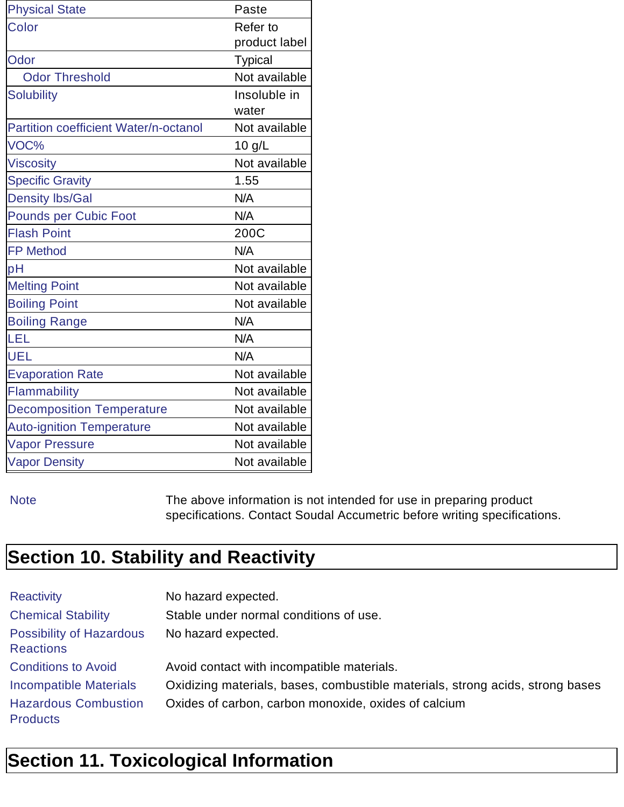| <b>Physical State</b>                        | Paste          |
|----------------------------------------------|----------------|
| Color                                        | Refer to       |
|                                              | product label  |
| Odor                                         | <b>Typical</b> |
| <b>Odor Threshold</b>                        | Not available  |
| <b>Solubility</b>                            | Insoluble in   |
|                                              | water          |
| <b>Partition coefficient Water/n-octanol</b> | Not available  |
| VOC%                                         | $10$ g/L       |
| <b>Viscosity</b>                             | Not available  |
| <b>Specific Gravity</b>                      | 1.55           |
| <b>Density lbs/Gal</b>                       | N/A            |
| <b>Pounds per Cubic Foot</b>                 | N/A            |
| <b>Flash Point</b>                           | 200C           |
| <b>FP Method</b>                             | N/A            |
| pH                                           | Not available  |
| <b>Melting Point</b>                         | Not available  |
| <b>Boiling Point</b>                         | Not available  |
| <b>Boiling Range</b>                         | N/A            |
| LEL                                          | N/A            |
| <b>UEL</b>                                   | N/A            |
| <b>Evaporation Rate</b>                      | Not available  |
| Flammability                                 | Not available  |
| <b>Decomposition Temperature</b>             | Not available  |
| <b>Auto-ignition Temperature</b>             | Not available  |
| <b>Vapor Pressure</b>                        | Not available  |
| <b>Vapor Density</b>                         | Not available  |

Note The above information is not intended for use in preparing product specifications. Contact Soudal Accumetric before writing specifications.

### **Section 10. Stability and Reactivity**

| <b>Reactivity</b>                                   | No hazard expected.                                                           |
|-----------------------------------------------------|-------------------------------------------------------------------------------|
| <b>Chemical Stability</b>                           | Stable under normal conditions of use.                                        |
| <b>Possibility of Hazardous</b><br><b>Reactions</b> | No hazard expected.                                                           |
| <b>Conditions to Avoid</b>                          | Avoid contact with incompatible materials.                                    |
| <b>Incompatible Materials</b>                       | Oxidizing materials, bases, combustible materials, strong acids, strong bases |
| <b>Hazardous Combustion</b><br><b>Products</b>      | Oxides of carbon, carbon monoxide, oxides of calcium                          |

# **Section 11. Toxicological Information**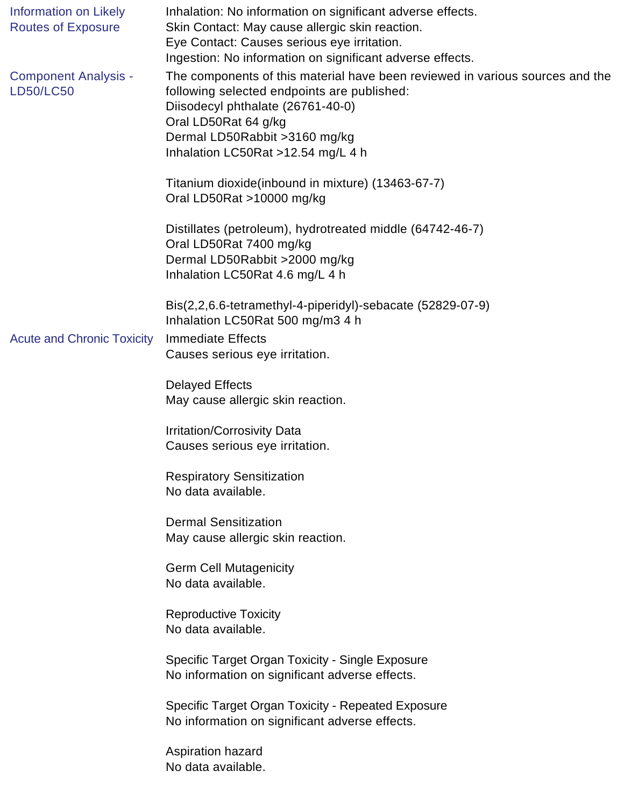| <b>Information on Likely</b><br><b>Routes of Exposure</b> | Inhalation: No information on significant adverse effects.<br>Skin Contact: May cause allergic skin reaction.<br>Eye Contact: Causes serious eye irritation.<br>Ingestion: No information on significant adverse effects.                                         |
|-----------------------------------------------------------|-------------------------------------------------------------------------------------------------------------------------------------------------------------------------------------------------------------------------------------------------------------------|
| <b>Component Analysis -</b><br><b>LD50/LC50</b>           | The components of this material have been reviewed in various sources and the<br>following selected endpoints are published:<br>Diisodecyl phthalate (26761-40-0)<br>Oral LD50Rat 64 g/kg<br>Dermal LD50Rabbit > 3160 mg/kg<br>Inhalation LC50Rat >12.54 mg/L 4 h |
|                                                           | Titanium dioxide(inbound in mixture) (13463-67-7)<br>Oral LD50Rat >10000 mg/kg                                                                                                                                                                                    |
|                                                           | Distillates (petroleum), hydrotreated middle (64742-46-7)<br>Oral LD50Rat 7400 mg/kg<br>Dermal LD50Rabbit >2000 mg/kg<br>Inhalation LC50Rat 4.6 mg/L 4 h                                                                                                          |
| <b>Acute and Chronic Toxicity</b>                         | Bis(2,2,6.6-tetramethyl-4-piperidyl)-sebacate (52829-07-9)<br>Inhalation LC50Rat 500 mg/m3 4 h<br><b>Immediate Effects</b><br>Causes serious eye irritation.                                                                                                      |
|                                                           | <b>Delayed Effects</b><br>May cause allergic skin reaction.                                                                                                                                                                                                       |
|                                                           | <b>Irritation/Corrosivity Data</b><br>Causes serious eye irritation.                                                                                                                                                                                              |
|                                                           | <b>Respiratory Sensitization</b><br>No data available.                                                                                                                                                                                                            |
|                                                           | <b>Dermal Sensitization</b><br>May cause allergic skin reaction.                                                                                                                                                                                                  |
|                                                           | <b>Germ Cell Mutagenicity</b><br>No data available.                                                                                                                                                                                                               |
|                                                           | <b>Reproductive Toxicity</b><br>No data available.                                                                                                                                                                                                                |
|                                                           | Specific Target Organ Toxicity - Single Exposure<br>No information on significant adverse effects.                                                                                                                                                                |
|                                                           | Specific Target Organ Toxicity - Repeated Exposure<br>No information on significant adverse effects.                                                                                                                                                              |
|                                                           | Aspiration hazard<br>No data available.                                                                                                                                                                                                                           |
|                                                           |                                                                                                                                                                                                                                                                   |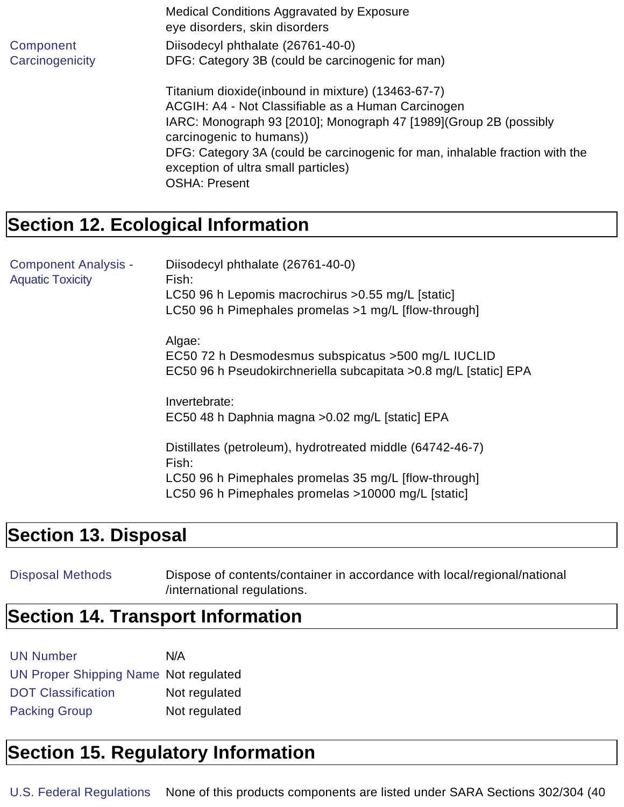|                 | Medical Conditions Aggravated by Exposure<br>eye disorders, skin disorders                                          |
|-----------------|---------------------------------------------------------------------------------------------------------------------|
| Component       | Diisodecyl phthalate (26761-40-0)                                                                                   |
| Carcinogenicity | DFG: Category 3B (could be carcinogenic for man)                                                                    |
|                 | Titanium dioxide (inbound in mixture) (13463-67-7)                                                                  |
|                 | ACGIH: A4 - Not Classifiable as a Human Carcinogen                                                                  |
|                 | IARC: Monograph 93 [2010]; Monograph 47 [1989](Group 2B (possibly<br>carcinogenic to humans))                       |
|                 | DFG: Category 3A (could be carcinogenic for man, inhalable fraction with the<br>exception of ultra small particles) |
|                 | <b>OSHA: Present</b>                                                                                                |

#### **Section 12. Ecological Information**

Component Analysis - Aquatic Toxicity Diisodecyl phthalate (26761-40-0) Fish: LC50 96 h Lepomis macrochirus >0.55 mg/L [static] LC50 96 h Pimephales promelas >1 mg/L [flow-through] Algae: EC50 72 h Desmodesmus subspicatus >500 mg/L IUCLID EC50 96 h Pseudokirchneriella subcapitata >0.8 mg/L [static] EPA Invertebrate: EC50 48 h Daphnia magna >0.02 mg/L [static] EPA Distillates (petroleum), hydrotreated middle (64742-46-7) Fish: LC50 96 h Pimephales promelas 35 mg/L [flow-through] LC50 96 h Pimephales promelas >10000 mg/L [static]

#### **Section 13. Disposal**

Disposal Methods Dispose of contents/container in accordance with local/regional/national /international regulations.

#### **Section 14. Transport Information**

| <b>UN Number</b>                      | N/A           |
|---------------------------------------|---------------|
| UN Proper Shipping Name Not regulated |               |
| <b>DOT Classification</b>             | Not regulated |
| <b>Packing Group</b>                  | Not regulated |

#### **Section 15. Regulatory Information**

U.S. Federal Regulations None of this products components are listed under SARA Sections 302/304 (40